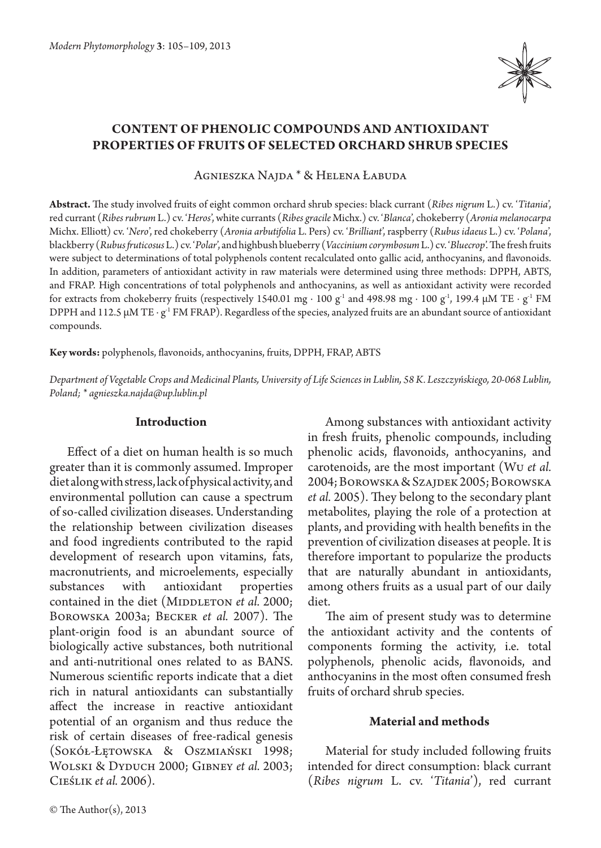

# **Content of phenolic compounds and antioxidant properties of fruits of selected orchard shrub species**

Agnieszka Najda \* & Helena Łabuda

**Abstract.** The study involved fruits of eight common orchard shrub species: black currant (*Ribes nigrum* L.) cv. '*Titania*', red currant (*Ribes rubrum* L.) cv. '*Heros*', white currants (*Ribes gracile* Michx.) cv. '*Blanca*', chokeberry (*Aronia melanocarpa*  Michx. Elliott) cv. '*Nero*', red chokeberry (*Aronia arbutifolia* L. Pers) cv. '*Brilliant*', raspberry (*Rubus idaeus* L.) cv. '*Polana*', blackberry (*Rubus fruticosus* L.) cv. '*Polar*', and highbush blueberry (*Vaccinium corymbosum* L.) cv. '*Bluecrop*'. The fresh fruits were subject to determinations of total polyphenols content recalculated onto gallic acid, anthocyanins, and flavonoids. In addition, parameters of antioxidant activity in raw materials were determined using three methods: DPPH, ABTS, and FRAP. High concentrations of total polyphenols and anthocyanins, as well as antioxidant activity were recorded for extracts from chokeberry fruits (respectively 1540.01 mg ⋅ 100 g<sup>-1</sup> and 498.98 mg ⋅ 100 g<sup>-1</sup>, 199.4 μM TE ⋅ g<sup>-1</sup> FM DPPH and 112.5 μM TE ⋅ g<sup>-1</sup> FM FRAP). Regardless of the species, analyzed fruits are an abundant source of antioxidant compounds.

**Key words:** polyphenols, flavonoids, anthocyanins, fruits, DPPH, FRAP, ABTS

*Department of Vegetable Crops and Medicinal Plants, University of Life Sciences in Lublin, 58 K. Leszczyńskiego, 20-068 Lublin, Poland; \* agnieszka.najda@up.lublin.pl*

### **Introduction**

Effect of a diet on human health is so much greater than it is commonly assumed. Improper diet along with stress, lack of physical activity, and environmental pollution can cause a spectrum of so-called civilization diseases. Understanding the relationship between civilization diseases and food ingredients contributed to the rapid development of research upon vitamins, fats, macronutrients, and microelements, especially substances with antioxidant properties contained in the diet (MIDDLETON *et al.* 2000; Borowska 2003a; Becker *et al.* 2007). The plant-origin food is an abundant source of biologically active substances, both nutritional and anti-nutritional ones related to as BANS. Numerous scientific reports indicate that a diet rich in natural antioxidants can substantially affect the increase in reactive antioxidant potential of an organism and thus reduce the risk of certain diseases of free-radical genesis (Sokół-Łętowska & Oszmiański 1998; Wolski & Dyduch 2000; Gibney *et al.* 2003; Cieślik *et al.* 2006).

Among substances with antioxidant activity in fresh fruits, phenolic compounds, including phenolic acids, flavonoids, anthocyanins, and carotenoids, are the most important (Wu *et al.*  2004; Borowska & Szajdek 2005; Borowska *et al.* 2005). They belong to the secondary plant metabolites, playing the role of a protection at plants, and providing with health benefits in the prevention of civilization diseases at people. It is therefore important to popularize the products that are naturally abundant in antioxidants, among others fruits as a usual part of our daily diet.

The aim of present study was to determine the antioxidant activity and the contents of components forming the activity, i.e. total polyphenols, phenolic acids, flavonoids, and anthocyanins in the most often consumed fresh fruits of orchard shrub species.

### **Material and methods**

Material for study included following fruits intended for direct consumption: black currant (*Ribes nigrum* L. cv. '*Titania*'), red currant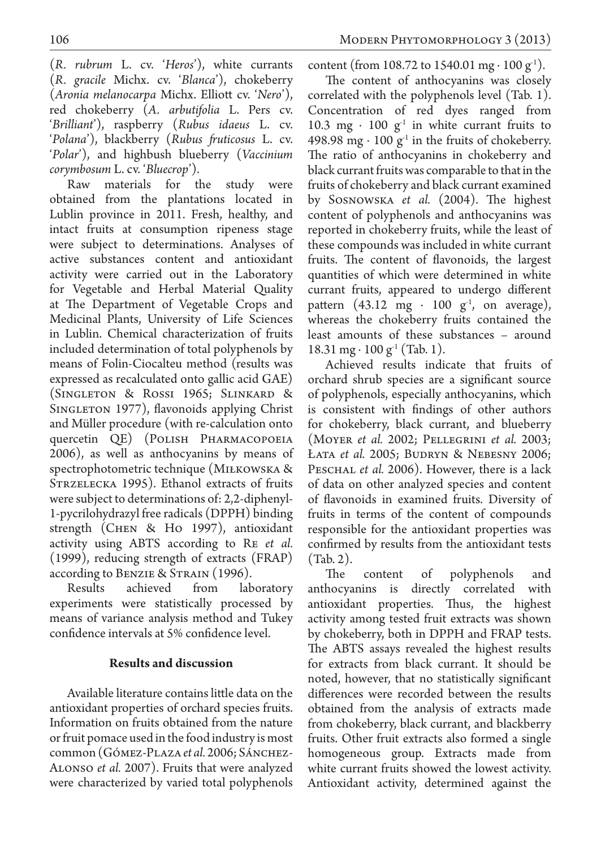(*R. rubrum* L. cv. '*Heros*'), white currants (*R. gracile* Michx. cv. '*Blanca*'), chokeberry (*Aronia melanocarpa* Michx. Elliott cv. '*Nero*'), red chokeberry (*A. arbutifolia* L. Pers cv. '*Brilliant*'), raspberry (*Rubus idaeus* L. cv. '*Polana*'), blackberry (*Rubus fruticosus* L. cv. '*Polar*'), and highbush blueberry (*Vaccinium corymbosum* L. cv. '*Bluecrop*').

Raw materials for the study were obtained from the plantations located in Lublin province in 2011. Fresh, healthy, and intact fruits at consumption ripeness stage were subject to determinations. Analyses of active substances content and antioxidant activity were carried out in the Laboratory for Vegetable and Herbal Material Quality at The Department of Vegetable Crops and Medicinal Plants, University of Life Sciences in Lublin. Chemical characterization of fruits included determination of total polyphenols by means of Folin-Ciocalteu method (results was expressed as recalculated onto gallic acid GAE) (Singleton & Rossi 1965; Slinkard & SINGLETON 1977), flavonoids applying Christ and Müller procedure (with re-calculation onto quercetin QE) (POLISH PHARMACOPOEIA 2006), as well as anthocyanins by means of spectrophotometric technique (MIŁKOWSKA & STRZELECKA 1995). Ethanol extracts of fruits were subject to determinations of: 2,2-diphenyl-1-pycrilohydrazyl free radicals (DPPH) binding strength (Chen & Ho 1997), antioxidant activity using ABTS according to Re *et al.*  (1999), reducing strength of extracts (FRAP) according to BENZIE & STRAIN (1996).

Results achieved from laboratory experiments were statistically processed by means of variance analysis method and Tukey confidence intervals at 5% confidence level.

## **Results and discussion**

Available literature contains little data on the antioxidant properties of orchard species fruits. Information on fruits obtained from the nature or fruit pomace used in the food industry is most common (Gómez-Plaza *et al.* 2006; Sánchez-Alonso *et al.* 2007). Fruits that were analyzed were characterized by varied total polyphenols content (from 108.72 to 1540.01 mg ⋅ 100 g<sup>-1</sup>).

The content of anthocyanins was closely correlated with the polyphenols level (Tab. 1). Concentration of red dyes ranged from 10.3 mg  $\cdot$  100 g<sup>1</sup> in white currant fruits to 498.98 mg ⋅ 100 g<sup>-1</sup> in the fruits of chokeberry. The ratio of anthocyanins in chokeberry and black currant fruits was comparable to that in the fruits of chokeberry and black currant examined by Sosnowska *et al.* (2004). The highest content of polyphenols and anthocyanins was reported in chokeberry fruits, while the least of these compounds was included in white currant fruits. The content of flavonoids, the largest quantities of which were determined in white currant fruits, appeared to undergo different pattern (43.12 mg ⋅ 100 g<sup>-1</sup>, on average), whereas the chokeberry fruits contained the least amounts of these substances – around 18.31 mg ⋅ 100 g<sup>-1</sup> (Tab. 1).

Achieved results indicate that fruits of orchard shrub species are a significant source of polyphenols, especially anthocyanins, which is consistent with findings of other authors for chokeberry, black currant, and blueberry (Moyer *et al.* 2002; Pellegrini *et al.* 2003; Łata *et al.* 2005; Budryn & Nebesny 2006; PESCHAL *et al.* 2006). However, there is a lack of data on other analyzed species and content of flavonoids in examined fruits. Diversity of fruits in terms of the content of compounds responsible for the antioxidant properties was confirmed by results from the antioxidant tests (Tab. 2).

The content of polyphenols and anthocyanins is directly correlated with antioxidant properties. Thus, the highest activity among tested fruit extracts was shown by chokeberry, both in DPPH and FRAP tests. The ABTS assays revealed the highest results for extracts from black currant. It should be noted, however, that no statistically significant differences were recorded between the results obtained from the analysis of extracts made from chokeberry, black currant, and blackberry fruits. Other fruit extracts also formed a single homogeneous group. Extracts made from white currant fruits showed the lowest activity. Antioxidant activity, determined against the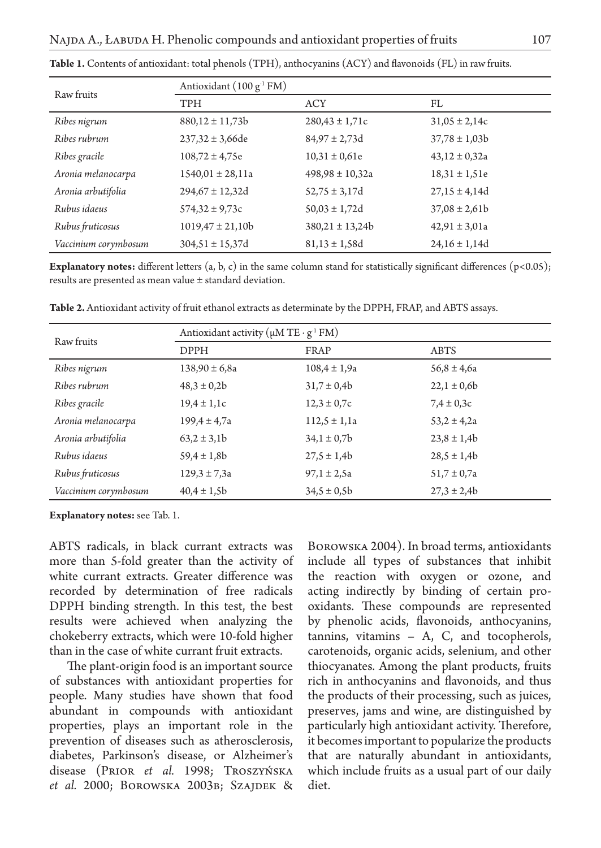| Raw fruits           | Antioxidant (100 g <sup>-1</sup> FM) |                     |                   |
|----------------------|--------------------------------------|---------------------|-------------------|
|                      | <b>TPH</b>                           | <b>ACY</b>          | FL                |
| Ribes nigrum         | $880,12 \pm 11,73b$                  | $280,43 \pm 1,71c$  | $31,05 \pm 2,14c$ |
| Ribes rubrum         | $237,32 \pm 3,66$ de                 | $84,97 \pm 2,73$ d  | $37,78 \pm 1,03b$ |
| Ribes gracile        | $108,72 \pm 4,75e$                   | $10,31 \pm 0,61e$   | $43,12 \pm 0,32a$ |
| Aronia melanocarpa   | $1540,01 \pm 28,11a$                 | $498,98 \pm 10,32a$ | $18,31 \pm 1,51e$ |
| Aronia arbutifolia   | $294,67 \pm 12,32d$                  | $52,75 \pm 3,17d$   | $27,15 \pm 4,14d$ |
| Rubus idaeus         | $574,32 \pm 9,73c$                   | $50,03 \pm 1,72d$   | $37,08 \pm 2,61b$ |
| Rubus fruticosus     | $1019,47 \pm 21,10b$                 | $380,21 \pm 13,24b$ | $42,91 \pm 3,01a$ |
| Vaccinium corymbosum | $304,51 \pm 15,37$ d                 | $81,13 \pm 1,58$ d  | $24,16 \pm 1,14d$ |

**Table 1.** Contents of antioxidant: total phenols (TPH), anthocyanins (ACY) and flavonoids (FL) in raw fruits.

**Explanatory notes:** different letters (a, b, c) in the same column stand for statistically significant differences (p<0.05); results are presented as mean value ± standard deviation.

| Raw fruits           | Antioxidant activity ( $\mu$ M TE · $g^1$ FM) |                  |                 |  |
|----------------------|-----------------------------------------------|------------------|-----------------|--|
|                      | <b>DPPH</b>                                   | FRAP             | <b>ABTS</b>     |  |
| Ribes nigrum         | $138,90 \pm 6,8a$                             | $108,4 \pm 1,9a$ | $56,8 \pm 4,6a$ |  |
| Ribes rubrum         | $48,3 \pm 0,2b$                               | $31,7 \pm 0,4b$  | $22,1 \pm 0,6b$ |  |
| Ribes gracile        | $19,4 \pm 1,1c$                               | $12,3 \pm 0,7c$  | $7,4 \pm 0,3c$  |  |
| Aronia melanocarpa   | $199,4 \pm 4,7a$                              | $112,5 \pm 1,1a$ | $53.2 \pm 4.2a$ |  |
| Aronia arbutifolia   | $63,2 \pm 3,1b$                               | $34,1 \pm 0,7$   | $23,8 \pm 1,4b$ |  |
| Rubus idaeus         | $59,4 \pm 1,8b$                               | $27.5 \pm 1.4b$  | $28,5 \pm 1,4b$ |  |
| Rubus fruticosus     | $129,3 \pm 7,3a$                              | $97,1 \pm 2,5a$  | $51,7 \pm 0,7a$ |  |
| Vaccinium corymbosum | $40,4 \pm 1,5b$                               | $34,5 \pm 0,5b$  | $27,3 \pm 2,4b$ |  |

**Table 2.** Antioxidant activity of fruit ethanol extracts as determinate by the DPPH, FRAP, and ABTS assays.

**Explanatory notes:** see Tab. 1.

ABTS radicals, in black currant extracts was more than 5-fold greater than the activity of white currant extracts. Greater difference was recorded by determination of free radicals DPPH binding strength. In this test, the best results were achieved when analyzing the chokeberry extracts, which were 10-fold higher than in the case of white currant fruit extracts.

The plant-origin food is an important source of substances with antioxidant properties for people. Many studies have shown that food abundant in compounds with antioxidant properties, plays an important role in the prevention of diseases such as atherosclerosis, diabetes, Parkinson's disease, or Alzheimer's disease (Prior *et al.* 1998; Troszyńska *et al.* 2000; Borowska 2003b; Szajdek &

Borowska 2004). In broad terms, antioxidants include all types of substances that inhibit the reaction with oxygen or ozone, and acting indirectly by binding of certain prooxidants. These compounds are represented by phenolic acids, flavonoids, anthocyanins, tannins, vitamins – A, C, and tocopherols, carotenoids, organic acids, selenium, and other thiocyanates. Among the plant products, fruits rich in anthocyanins and flavonoids, and thus the products of their processing, such as juices, preserves, jams and wine, are distinguished by particularly high antioxidant activity. Therefore, it becomes important to popularize the products that are naturally abundant in antioxidants, which include fruits as a usual part of our daily diet.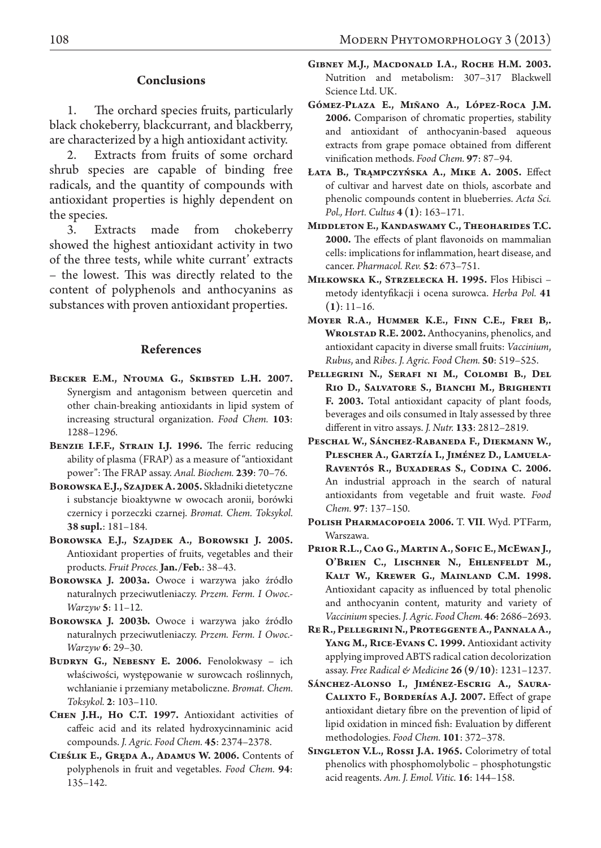### **Conclusions**

1. The orchard species fruits, particularly black chokeberry, blackcurrant, and blackberry, are characterized by a high antioxidant activity.

2. Extracts from fruits of some orchard shrub species are capable of binding free radicals, and the quantity of compounds with antioxidant properties is highly dependent on the species.

3. Extracts made from chokeberry showed the highest antioxidant activity in two of the three tests, while white currant' extracts – the lowest. This was directly related to the content of polyphenols and anthocyanins as substances with proven antioxidant properties.

### **References**

- BECKER E.M., NTOUMA G., SKIBSTED L.H. 2007. Synergism and antagonism between quercetin and other chain-breaking antioxidants in lipid system of increasing structural organization. *Food Chem.* **103**: 1288–1296.
- **Benzie I.F.F., Strain I.J. 1996.** The ferric reducing ability of plasma (FRAP) as a measure of "antioxidant power": The FRAP assay. *Anal. Biochem.* **239**: 70–76.
- **Borowska E.J., Szajdek A. 2005.** Składniki dietetyczne i substancje bioaktywne w owocach aronii, borówki czernicy i porzeczki czarnej. *Bromat. Chem. Toksykol.* **38 supl.**: 181–184.
- **Borowska E.J., Szajdek A., Borowski J. 2005.** Antioxidant properties of fruits, vegetables and their products. *Fruit Proces.* **Jan./Feb.**: 38–43.
- **Borowska J. 2003a.** Owoce i warzywa jako źródło naturalnych przeciwutleniaczy. *Przem. Ferm. I Owoc.- Warzyw* **5**: 11–12.
- **Borowska J. 2003b.** Owoce i warzywa jako źródło naturalnych przeciwutleniaczy. *Przem. Ferm. I Owoc.- Warzyw* **6**: 29–30.
- **Budryn G., Nebesny E. 2006.** Fenolokwasy ich właściwości, występowanie w surowcach roślinnych, wchłanianie i przemiany metaboliczne. *Bromat. Chem. Toksykol.* **2**: 103–110.
- **Chen J.H., Ho C.T. 1997.** Antioxidant activities of caffeic acid and its related hydroxycinnaminic acid compounds. *J. Agric. Food Chem.* **45**: 2374–2378.
- **Cieślik E., Gręda A., Adamus W. 2006.** Contents of polyphenols in fruit and vegetables. *Food Chem.* **94**: 135–142.
- **Gibney M.J., Macdonald I.A., Roche H.M. 2003.** Nutrition and metabolism: 307–317 Blackwell Science Ltd. UK.
- **Gómez-Plaza E., Miñano A., López-Roca J.M. 2006.** Comparison of chromatic properties, stability and antioxidant of anthocyanin-based aqueous extracts from grape pomace obtained from different vinification methods. *Food Chem.* **97**: 87–94.
- **Łata B., Trąmpczyńska A., Mike A. 2005.** Effect of cultivar and harvest date on thiols, ascorbate and phenolic compounds content in blueberries. *Acta Sci. Pol., Hort. Cultus* **4 (1)**: 163–171.
- **Middleton E., Kandaswamy C., Theoharides T.C. 2000.** The effects of plant flavonoids on mammalian cells: implications for inflammation, heart disease, and cancer. *Pharmacol. Rev.* **52**: 673–751.
- **Miłkowska K., Strzelecka H. 1995.** Flos Hibisci metody identyfikacji i ocena surowca. *Herba Pol.* **41 (1)**: 11–16.
- **Moyer R.A., Hummer K.E., Finn C.E., Frei B,. Wrolstad R.E. 2002.** Anthocyanins, phenolics, and antioxidant capacity in diverse small fruits: *Vaccinium*, *Rubus*, and *Ribes*. *J. Agric. Food Chem.* **50**: 519–525.
- **Pellegrini N., Serafi ni M., Colombi B., Del Rio D., Salvatore S., Bianchi M., Brighenti F. 2003.** Total antioxidant capacity of plant foods, beverages and oils consumed in Italy assessed by three different in vitro assays. *J. Nutr.* **133**: 2812–2819.
- **Peschal W., Sánchez-Rabaneda F., Diekmann W., Plescher A., Gartzía I., Jiménez D., Lamuela-Raventós R., Buxaderas S., Codina C. 2006.**  An industrial approach in the search of natural antioxidants from vegetable and fruit waste. *Food Chem.* **97**: 137–150.
- **Polish Pharmacopoeia 2006.** T. **VII**. Wyd. PTFarm, Warszawa.
- **Prior R.L., Cao G., Martin A., Sofic E., McEwan J., O'Brien C., Lischner N., Ehlenfeldt M., Kalt W., Krewer G., Mainland C.M. 1998.**  Antioxidant capacity as influenced by total phenolic and anthocyanin content, maturity and variety of *Vaccinium* species. *J. Agric. Food Chem.* **46**: 2686–2693.
- **Re R., Pellegrini N., Proteggente A., Pannala A., Yang M., Rice-Evans C. 1999.** Antioxidant activity applying improved ABTS radical cation decolorization assay. *Free Radical & Medicine* **26 (9/10)**: 1231–1237.
- **Sánchez-Alonso I., Jiménez-Escrig A., Saura-Calixto F., Borderías A.J. 2007.** Effect of grape antioxidant dietary fibre on the prevention of lipid of lipid oxidation in minced fish: Evaluation by different methodologies. *Food Chem.* **101**: 372–378.
- **Singleton V.L., Rossi J.A. 1965.** Colorimetry of total phenolics with phosphomolybolic – phosphotungstic acid reagents. *Am. J. Emol. Vitic.* **16**: 144–158.